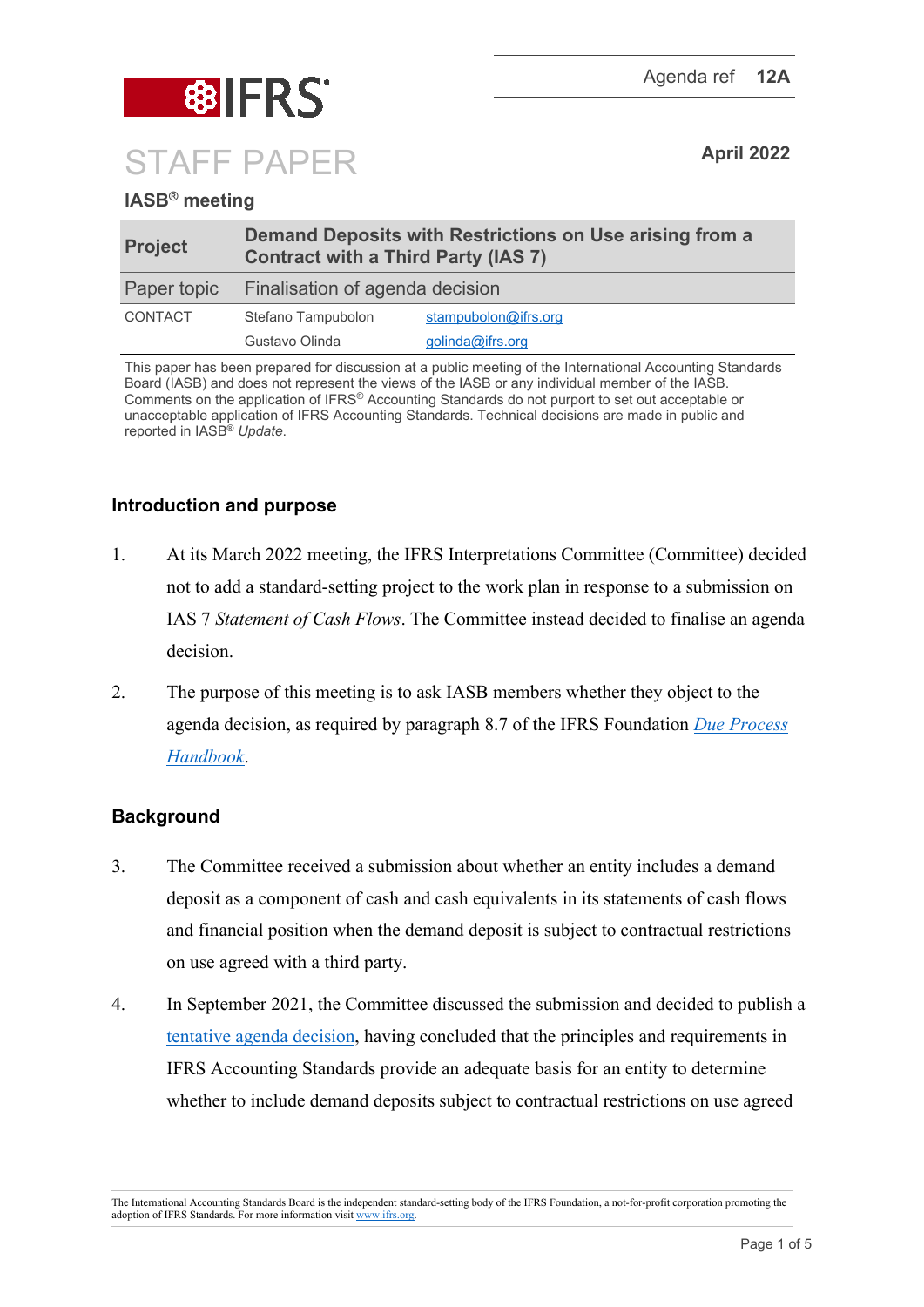

# **IASB® meeting**

| <b>Project</b> | Demand Deposits with Restrictions on Use arising from a<br><b>Contract with a Third Party (IAS 7)</b> |                      |
|----------------|-------------------------------------------------------------------------------------------------------|----------------------|
| Paper topic    | Finalisation of agenda decision                                                                       |                      |
| <b>CONTACT</b> | Stefano Tampubolon                                                                                    | stampubolon@ifrs.org |
|                | Gustavo Olinda                                                                                        | golinda@ifrs.org     |

This paper has been prepared for discussion at a public meeting of the International Accounting Standards Board (IASB) and does not represent the views of the IASB or any individual member of the IASB. Comments on the application of IFRS® Accounting Standards do not purport to set out acceptable or unacceptable application of IFRS Accounting Standards. Technical decisions are made in public and reported in IASB® *Update*.

## **Introduction and purpose**

- 1. At its March 2022 meeting, the IFRS Interpretations Committee (Committee) decided not to add a standard-setting project to the work plan in response to a submission on IAS 7 *Statement of Cash Flows*. The Committee instead decided to finalise an agenda decision.
- 2. The purpose of this meeting is to ask IASB members whether they object to the agenda decision, as required by paragraph 8.7 of the IFRS Foundation *[Due Process](https://www.ifrs.org/content/dam/ifrs/about-us/legal-and-governance/constitution-docs/due-process-handbook-2020.pdf)  [Handbook](https://www.ifrs.org/content/dam/ifrs/about-us/legal-and-governance/constitution-docs/due-process-handbook-2020.pdf)*.

## **Background**

- 3. The Committee received a submission about whether an entity includes a demand deposit as a component of cash and cash equivalents in its statements of cash flows and financial position when the demand deposit is subject to contractual restrictions on use agreed with a third party.
- 4. In September 2021, the Committee discussed the submission and decided to publish a [tentative agenda decision,](https://www.ifrs.org/projects/work-plan/demand-deposits-with-restrictions-on-use-ias-7/tentative-agenda-decision-and-comment-letters/) having concluded that the principles and requirements in IFRS Accounting Standards provide an adequate basis for an entity to determine whether to include demand deposits subject to contractual restrictions on use agreed

The International Accounting Standards Board is the independent standard-setting body of the IFRS Foundation, a not-for-profit corporation promoting the adoption of IFRS Standards. For more information visit [www.ifrs.org.](http://www.ifrs.org/)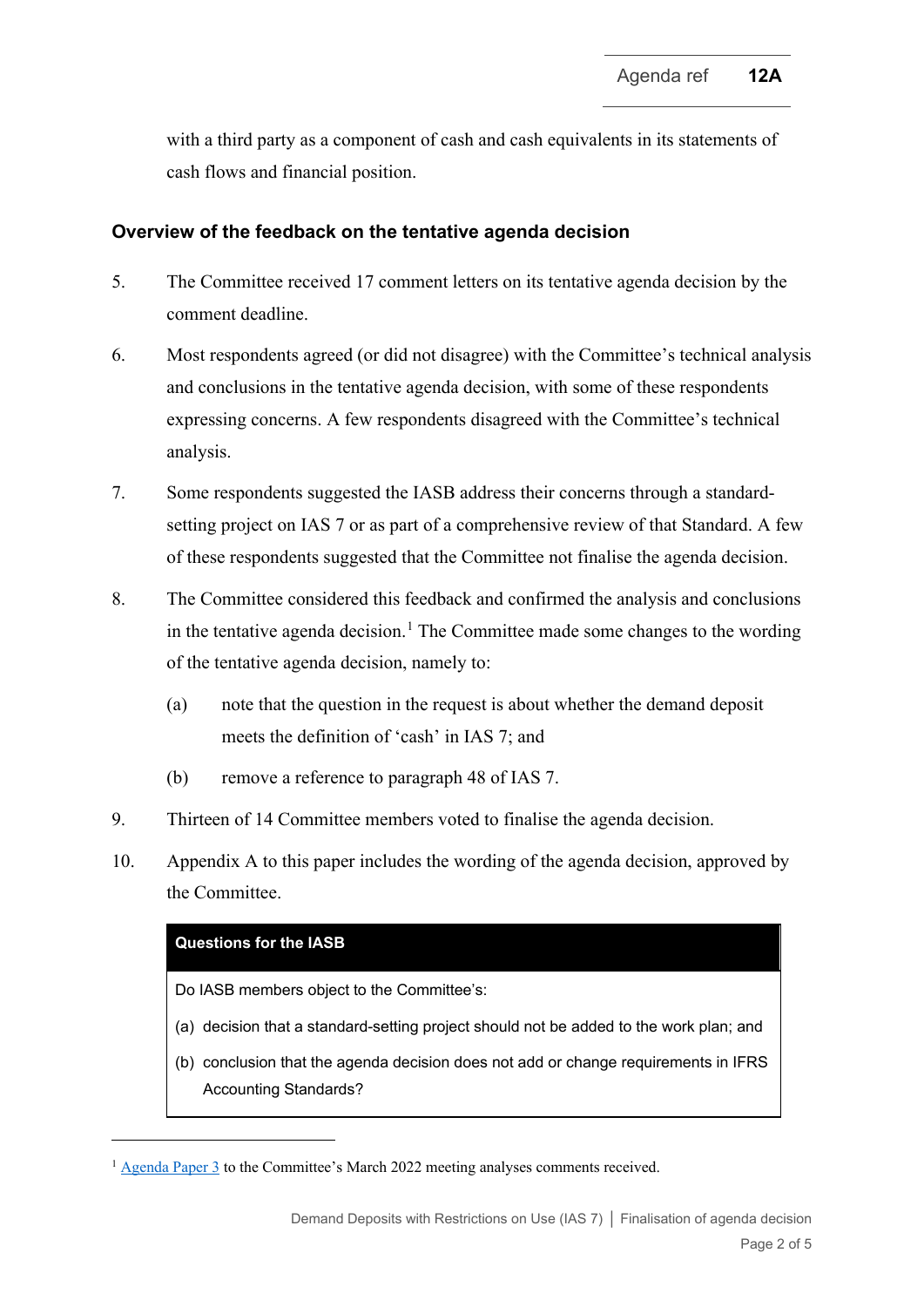with a third party as a component of cash and cash equivalents in its statements of cash flows and financial position.

#### **Overview of the feedback on the tentative agenda decision**

- 5. The Committee received 17 comment letters on its tentative agenda decision by the comment deadline.
- 6. Most respondents agreed (or did not disagree) with the Committee's technical analysis and conclusions in the tentative agenda decision, with some of these respondents expressing concerns. A few respondents disagreed with the Committee's technical analysis.
- 7. Some respondents suggested the IASB address their concerns through a standardsetting project on IAS 7 or as part of a comprehensive review of that Standard. A few of these respondents suggested that the Committee not finalise the agenda decision.
- 8. The Committee considered this feedback and confirmed the analysis and conclusions in the tentative agenda decision.<sup>[1](#page-1-0)</sup> The Committee made some changes to the wording of the tentative agenda decision, namely to:
	- (a) note that the question in the request is about whether the demand deposit meets the definition of 'cash' in IAS 7; and
	- (b) remove a reference to paragraph 48 of IAS 7.
- 9. Thirteen of 14 Committee members voted to finalise the agenda decision.
- 10. Appendix A to this paper includes the wording of the agenda decision, approved by the Committee.

#### **Questions for the IASB**

Do IASB members object to the Committee's:

- (a) decision that a standard-setting project should not be added to the work plan; and
- (b) conclusion that the agenda decision does not add or change requirements in IFRS Accounting Standards?

<span id="page-1-0"></span><sup>&</sup>lt;sup>1</sup> [Agenda Paper 3](https://www.ifrs.org/content/dam/ifrs/meetings/2022/march/ifric/ap03-demand-deposits-with-restrictions-on-use.pdf) to the Committee's March 2022 meeting analyses comments received.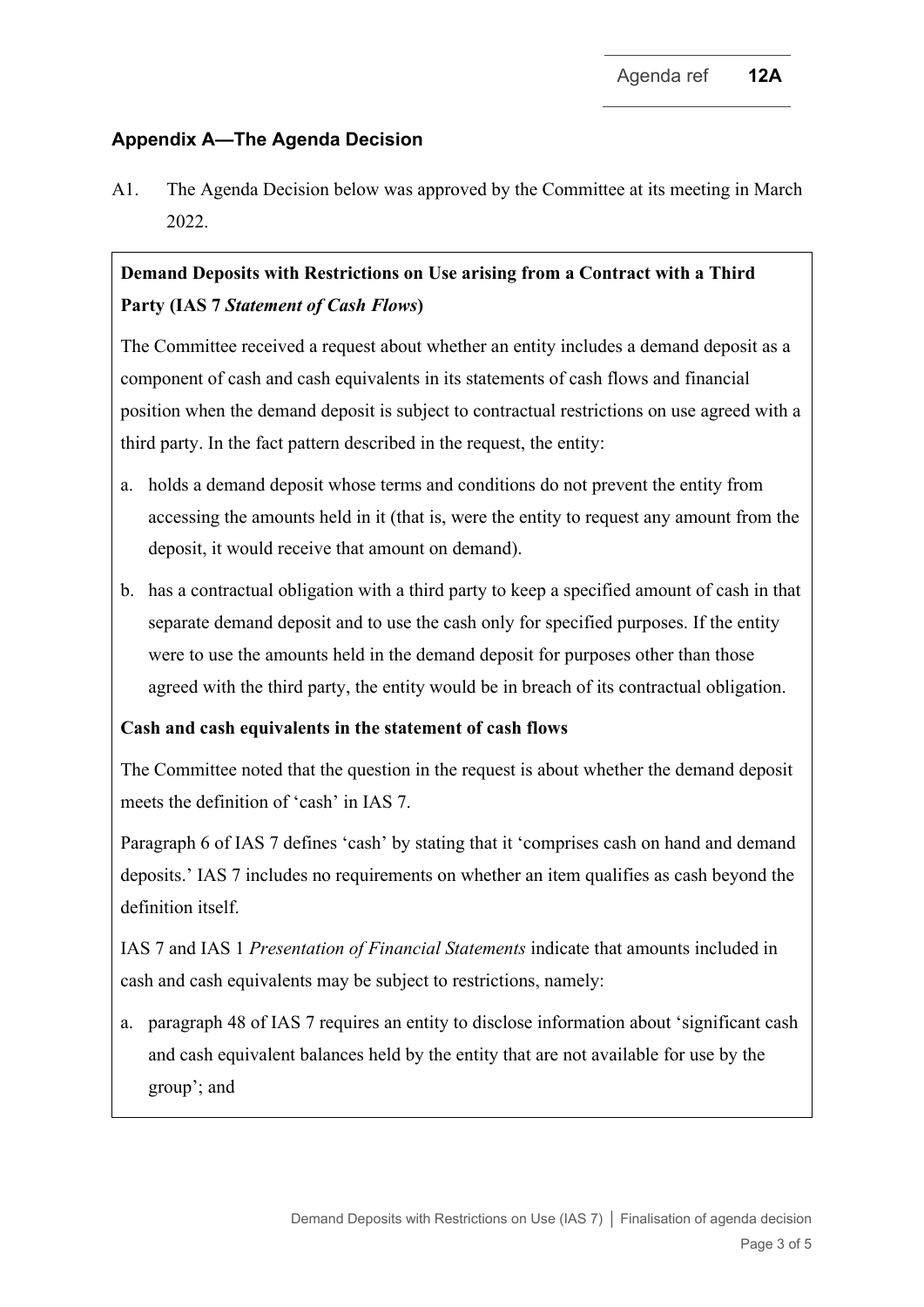# **Appendix A—The Agenda Decision**

A1. The Agenda Decision below was approved by the Committee at its meeting in March 2022.

# **Demand Deposits with Restrictions on Use arising from a Contract with a Third Party (IAS 7** *Statement of Cash Flows***)**

The Committee received a request about whether an entity includes a demand deposit as a component of cash and cash equivalents in its statements of cash flows and financial position when the demand deposit is subject to contractual restrictions on use agreed with a third party. In the fact pattern described in the request, the entity:

- a. holds a demand deposit whose terms and conditions do not prevent the entity from accessing the amounts held in it (that is, were the entity to request any amount from the deposit, it would receive that amount on demand).
- b. has a contractual obligation with a third party to keep a specified amount of cash in that separate demand deposit and to use the cash only for specified purposes. If the entity were to use the amounts held in the demand deposit for purposes other than those agreed with the third party, the entity would be in breach of its contractual obligation.

# **Cash and cash equivalents in the statement of cash flows**

The Committee noted that the question in the request is about whether the demand deposit meets the definition of 'cash' in IAS 7.

Paragraph 6 of IAS 7 defines 'cash' by stating that it 'comprises cash on hand and demand deposits.' IAS 7 includes no requirements on whether an item qualifies as cash beyond the definition itself.

IAS 7 and IAS 1 *Presentation of Financial Statements* indicate that amounts included in cash and cash equivalents may be subject to restrictions, namely:

a. paragraph 48 of IAS 7 requires an entity to disclose information about 'significant cash and cash equivalent balances held by the entity that are not available for use by the group'; and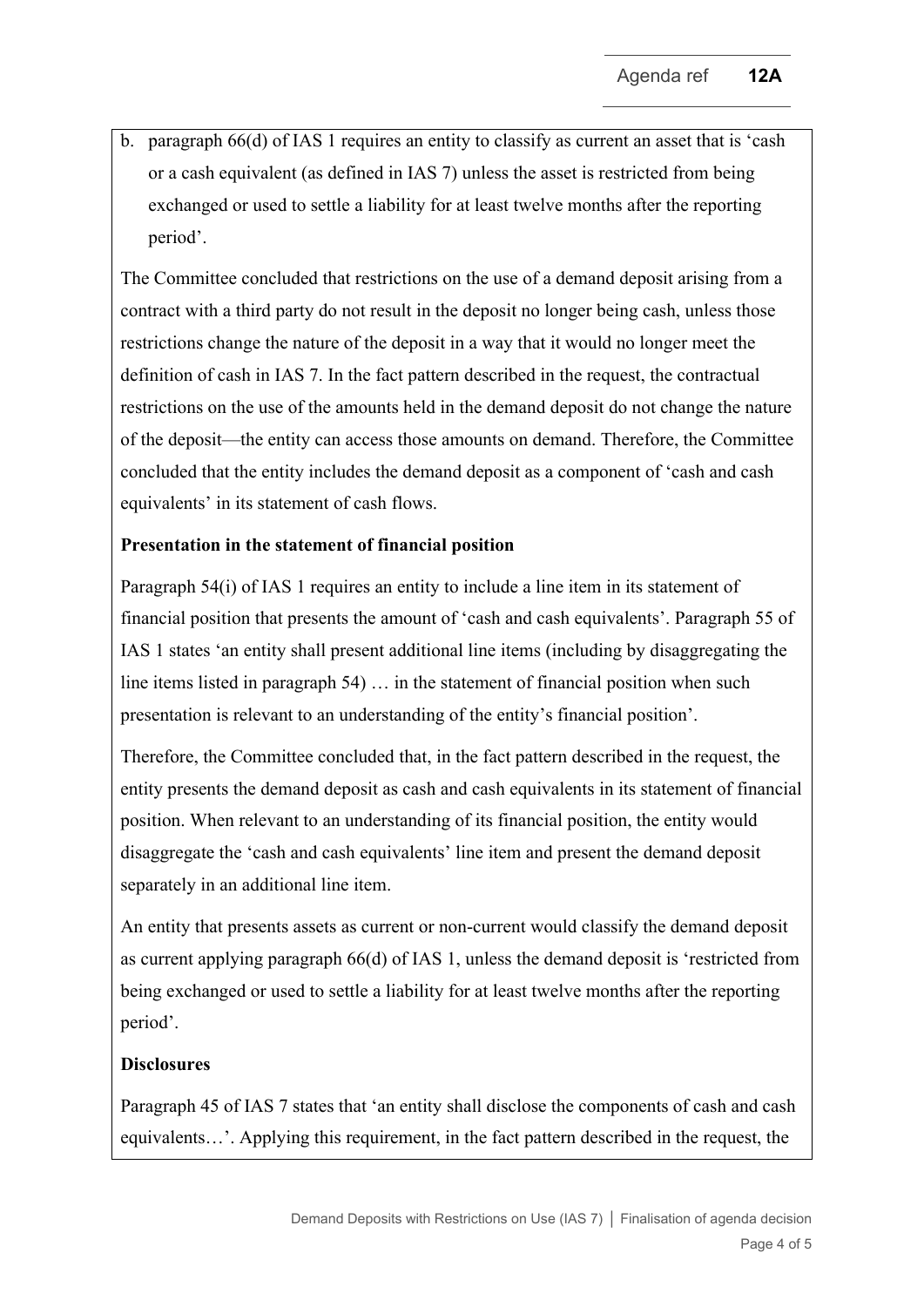b. paragraph 66(d) of IAS 1 requires an entity to classify as current an asset that is 'cash or a cash equivalent (as defined in IAS 7) unless the asset is restricted from being exchanged or used to settle a liability for at least twelve months after the reporting period'.

The Committee concluded that restrictions on the use of a demand deposit arising from a contract with a third party do not result in the deposit no longer being cash, unless those restrictions change the nature of the deposit in a way that it would no longer meet the definition of cash in IAS 7. In the fact pattern described in the request, the contractual restrictions on the use of the amounts held in the demand deposit do not change the nature of the deposit—the entity can access those amounts on demand. Therefore, the Committee concluded that the entity includes the demand deposit as a component of 'cash and cash equivalents' in its statement of cash flows.

## **Presentation in the statement of financial position**

Paragraph 54(i) of IAS 1 requires an entity to include a line item in its statement of financial position that presents the amount of 'cash and cash equivalents'. Paragraph 55 of IAS 1 states 'an entity shall present additional line items (including by disaggregating the line items listed in paragraph 54) … in the statement of financial position when such presentation is relevant to an understanding of the entity's financial position'.

Therefore, the Committee concluded that, in the fact pattern described in the request, the entity presents the demand deposit as cash and cash equivalents in its statement of financial position. When relevant to an understanding of its financial position, the entity would disaggregate the 'cash and cash equivalents' line item and present the demand deposit separately in an additional line item.

An entity that presents assets as current or non-current would classify the demand deposit as current applying paragraph 66(d) of IAS 1, unless the demand deposit is 'restricted from being exchanged or used to settle a liability for at least twelve months after the reporting period'.

## **Disclosures**

Paragraph 45 of IAS 7 states that 'an entity shall disclose the components of cash and cash equivalents…'. Applying this requirement, in the fact pattern described in the request, the